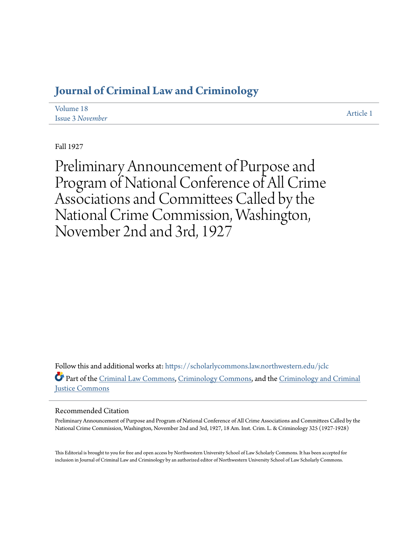# **[Journal of Criminal Law and Criminology](https://scholarlycommons.law.northwestern.edu/jclc?utm_source=scholarlycommons.law.northwestern.edu%2Fjclc%2Fvol18%2Fiss3%2F1&utm_medium=PDF&utm_campaign=PDFCoverPages)**

| Volume 18               | Article 1 |
|-------------------------|-----------|
| <b>Issue 3 November</b> |           |

Fall 1927

Preliminary Announcement of Purpose and Program of National Conference of All Crime Associations and Committees Called by the National Crime Commission, Washington, November 2nd and 3rd, 1927

Follow this and additional works at: [https://scholarlycommons.law.northwestern.edu/jclc](https://scholarlycommons.law.northwestern.edu/jclc?utm_source=scholarlycommons.law.northwestern.edu%2Fjclc%2Fvol18%2Fiss3%2F1&utm_medium=PDF&utm_campaign=PDFCoverPages) Part of the [Criminal Law Commons](http://network.bepress.com/hgg/discipline/912?utm_source=scholarlycommons.law.northwestern.edu%2Fjclc%2Fvol18%2Fiss3%2F1&utm_medium=PDF&utm_campaign=PDFCoverPages), [Criminology Commons](http://network.bepress.com/hgg/discipline/417?utm_source=scholarlycommons.law.northwestern.edu%2Fjclc%2Fvol18%2Fiss3%2F1&utm_medium=PDF&utm_campaign=PDFCoverPages), and the [Criminology and Criminal](http://network.bepress.com/hgg/discipline/367?utm_source=scholarlycommons.law.northwestern.edu%2Fjclc%2Fvol18%2Fiss3%2F1&utm_medium=PDF&utm_campaign=PDFCoverPages) [Justice Commons](http://network.bepress.com/hgg/discipline/367?utm_source=scholarlycommons.law.northwestern.edu%2Fjclc%2Fvol18%2Fiss3%2F1&utm_medium=PDF&utm_campaign=PDFCoverPages)

#### Recommended Citation

Preliminary Announcement of Purpose and Program of National Conference of All Crime Associations and Committees Called by the National Crime Commission, Washington, November 2nd and 3rd, 1927, 18 Am. Inst. Crim. L. & Criminology 325 (1927-1928)

This Editorial is brought to you for free and open access by Northwestern University School of Law Scholarly Commons. It has been accepted for inclusion in Journal of Criminal Law and Criminology by an authorized editor of Northwestern University School of Law Scholarly Commons.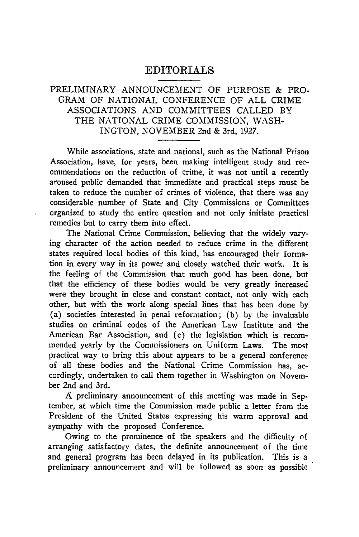# EDITORIALS

# PRELIMINARY ANNOUNCEMENT OF PURPOSE & PRO-GRAM OF NATIONAL CONFERENCE OF ALL CRIME ASSOCIATIONS AND COMMITTEES CALLED BY THE NATIONAL CRIME COMMISSION, WASH-INGTON, NOVEMBER 2nd & 3rd, 1927.

While associations, state and national, such as the National Prison Association, have, for years, been making intelligent study and recommendations on the reduction of crime, it was not until a recently aroused public demanded that immediate and practical steps must be taken to reduce the number of crimes of violence, that there was any considerable number of State and City Commissions or Committees organized to study the entire question and not only initiate practical remedies but to carry them into effect.

The National Crime Commission, believing that the widely varying character of the action needed to reduce crime in the different states required local bodies of this kind, has encouraged their formation in every way in its power and closely watched their work. It is the feeling of the Commission that much good has been done, but that the efficiency of these bodies would be very greatly increased were they brought in close and constant contact, not only with each other, but with the work along special lines that has been done by (a) societies interested in penal reformation; (b) by the invaluable studies on criminal codes of the American Law Institute and the American Bar Association, and (c) the legislation which is recommended yearly by the Commissioners on Uniform Laws. The most practical way to bring this about appears to be a general conference of all these bodies and the National Crime Commission has, accordingly, undertaken to call them together in Washington on November 2nd and 3rd.

**A** preliminary announcement of this meeting was made in September, at which time the Commission made public a letter from the President of the United States expressing his warm approval and sympathy with the proposed Conference.

Owing to the prominence of the speakers and the difficulty of arranging satisfactory dates, the definite announcement of the time and general program has been delayed in its publication. This is a preliminary announcement and will be followed as soon as possible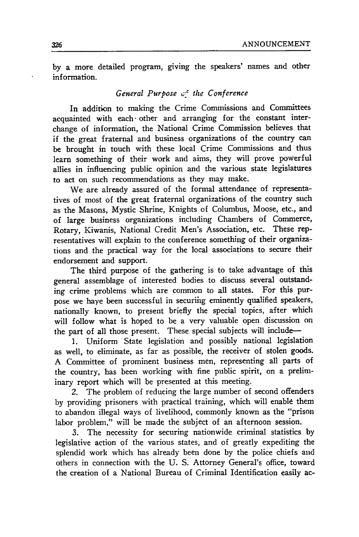by a more detailed program, giving the speakers' names and other information.

## *General Purpose c-" the Conference*

In addition to making the Crime Commissions and Committees acquainted with each other and arranging for the constant interchange of information, the National Crime Commission believes that if the great fraternal and business organizations of the country can be brought in touch with these local Crime Commissions and thus learn something of their work and aims, they will prove powerful allies in influencing public opinion and the various state legislatures to act on such recommendations as they may make.

We are already assured of the formal attendance of representatives of most of the great fraternal organizations of the country such as the Masons, Mystic Shrine, Knights of Columbus, Moose, etc., and of large business organizations including Chambers of Commerce, Rotary, Kiwanis, National Credit Men's Association, etc. These representatives will explain to the conference something of their organizations and the practical way for the local associations to secure their endorsement and support.

The third purpose of the gathering is to take advantage of this general assemblage of interested bodies to discuss several outstand-<br>ing crime problems which are common to all states. For this puring crime problems which are common to all states. pose we haye been successful in securihg eminently qualified speakers, nationally known, to present briefly the special topics, after which will follow what is hoped to be a very valuable open discussion on the part of all those present. These special subjects will include-

1. Uniform State legislation and possibly national legislation as well, to eliminate, as far as possible, the receiver of stolen goods. A Committee of prominent business men, representing all parts of the country, has been working with fine public spirit, on a preliminary report which will be presented at this meeting.

2. The problem of reducing the large number of second offenders by providing prisoners with practical training, which will enable them to abandon illegal ways of livelihood, commonly known as the "prison labor problem," will be made the subject of an afternoon session.

3. The necessity for securing nationwide criminal statistics by legislative action of the various states, and of greatly expediting the splendid work which has already been done by the police chiefs and others in connection with the U. S. Attorney General's office, toward the creation of a National Bureau of Criminal Identification easily ac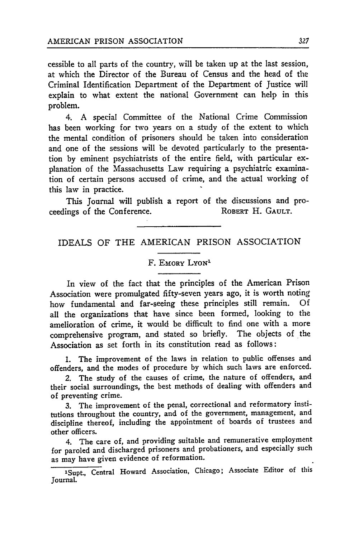cessible to all parts of the country, will be taken up at the last session, at which the Director of the Bureau of Census and the head of the Criminal Identification Department of the Department of Justice will explain to what extent the national Government can help in this problem.

4. A special Committee of the National Crime Commission has been working for two years on a study of the extent to which the mental condition of prisoners should be taken into consideration and one of the sessions will be devoted particularly to the presentation by eminent psychiatrists of the entire field, with particular explanation of the Massachusetts Law requiring a psychiatric examination of certain persons accused of crime, and the actual working of this law in practice.

This Journal will publish a report of the discussions and proceedings of the Conference.

## IDEALS OF THE AMERICAN PRISON ASSOCIATION

#### F. EMORY LYON<sup>1</sup>

In view of the fact that the principles of the American Prison Association were promulgated fifty-seven years ago, it is worth noting how fundamental and far-seeing these principles still remain. Of all the organizations that have since been formed, looking to the amelioration of crime, it would be difficult to find one with a more comprehensive program, and stated so briefly. The objects of the Association as set forth in its constitution read as follows:

1. The improvement of the laws in relation to public offenses and offenders, and the modes of procedure by which such laws are enforced.

2. The study of the causes of crime, the nature of offenders, and their social surroundings, the best methods of dealing with offenders and of preventing crime.

3. The improvement of the penal, correctional and reformatory institutions throughout the country, and of the government, management, and discipline thereof, including the appointment of boards of trustees and other officers.

4. The care of, and providing suitable and remunerative employment for paroled and discharged prisoners and probationers, and especially such as may have given evidence of reformation.

<sup>1</sup>Supt., Central Howard Association, Chicago; Associate Editor of this Journal.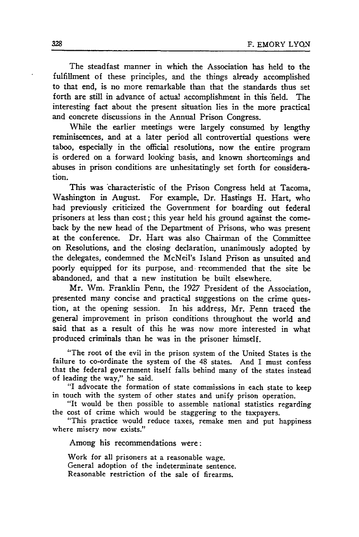The steadfast manner in which the Association has held to the fulfillment of these principles, and the things already accomplished to that end, is no more remarkable than that the standards thus set forth are still in advance of actual accomplishment in this field. The interesting fact about the present situation lies in the more practical and concrete discussions in the Annual Prison Congress.

While the earlier meetings were largely consumed by lengthy reminiscences, and at a later period all controvertial questions were taboo, especially in the official resolutions, now the entire program is ordered on a forward looking basis, and known shortcomings and abuses in prison conditions are unhesitatingly set forth for consideration.

This was 'characteristic of the Prison Congress held at Tacoma, Washington in August. For example, Dr. Hastings H. Hart, who had previously criticized the Government for boarding out federal prisoners at less than cost; this year held his ground against the comeback by the new head of the Department of Prisons, who was present at the conference. Dr. Hart was also Chairman of the Committee on Resolutions, and the closing declaration, unanimously adopted by the delegates, condemned the McNeil's Island Prison as unsuited and poorly equipped for its purpose, and. recommended that the site be abandoned, and that a new institution be built elsewhere.

Mr. Wm. Franklin Penn, the 1927 President of the Association, presented many concise and practical suggestions on the crime question, at the opening session. In his address, Mr. Penn traced the general improvement in prison conditions throughout the world and said that as a result of this he was now more interested in what produced criminals than he was in the prisoner himself.

"The root of the evil in the prison system of the United States is the failure to co-ordinate the system of the 48 states. And I must confess that the federal government itself falls behind many of the states instead of leading the way," he said.

"I advocate the formation of state commissions in each state to keep in touch with the system of other states and unify prison operation.

"It would be then possible to assemble national statistics regarding the cost of crime which would be staggering to the taxpayers.

"This practice would reduce taxes, remake men and put happiness where misery now exists."

Among his recommendations were:

Work for all prisoners at a reasonable wage. General adoption of the indeterminate sentence. Reasonable restriction of the sale of firearms.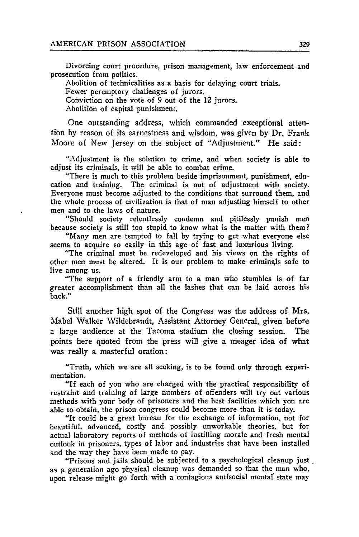Divorcing court procedure, prison management, law enforcement and prosecution from politics.

Abolition of technicalities as a basis for delaying court trials. Fewer peremptory challenges of jurors. Conviction on the vote of 9 out of the 12 jurors. Abolition of capital punishment.

One outstanding address, which commanded exceptional attention **by** reason of its earnestness and wisdom, was given **by** Dr. Frank Moore of New Jersey on the subject of "Adjustment." He said:

"Adjustment is the solution to crime, and when society is able to adjust its criminals, it will be able to combat crime.

"There is much to this problem beside imprisonment, punishment, education and training. The criminal is out of adjustment with society. Everyone must become adjusted to the conditions that surround them, and the whole process of civilization is that of man adjusting himself to other men and to the laws of nature.

"Should society relentlessly condemn and pitilessly punish men because society is still too stupid to know what is the matter with them?

"Many men are tempted to fall **by** trying to get what everyone else seems to acquire so easily in this age of fast and luxurious living.

"The criminal must be redeveloped and his views on the rights of other men must be altered. It is our problem to make criminals safe to live among us.

"The support of a friendly arm to a man who stumbles is of far greater accomplishment than all the lashes that can be laid across his back."

Still another high spot of the Congress was the address of Mrs. Mabel Walker Wildebrandt, Assistant Attorney General, given before a large audience at the Tacoma stadium the closing session. The points here quoted from the press will give a meager idea of what was really a masterful oration:

"Truth, which we are all seeking, is to be found only through experimentation.

"If each of you who are charged with the practical responsibility of restraint and training of large numbers of offenders will try out various methods with your body of prisoners and the best facilities which you are able to obtain, the prison congress could become more than it is today.

"It could be a great bureau for the exchange of information, not for beautiful, advanced, costly and possibly unworkable theories, but for actual laboratory reports of methods of instilling morale and fresh mental outlook in prisoners, types of labor and industries that have been installed and the way they have been made to pay.

"Prisons and jails should be subjected to a psychological cleanup just as a generation ago physical cleanup was demanded so that the man who, upon release might go forth with a contagious antisocial mental state may